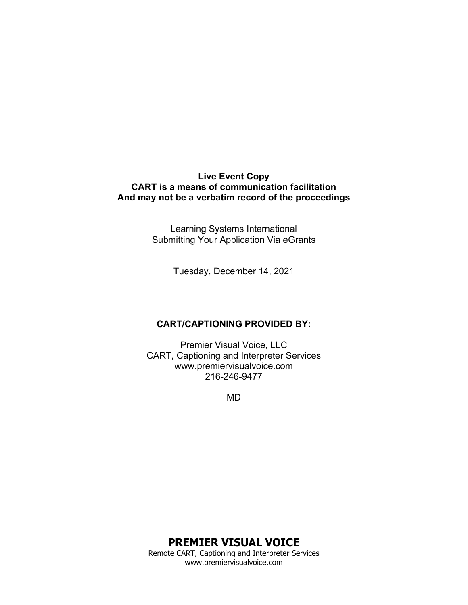### **Live Event Copy CART is a means of communication facilitation And may not be a verbatim record of the proceedings**

Learning Systems International Submitting Your Application Via eGrants

Tuesday, December 14, 2021

### **CART/CAPTIONING PROVIDED BY:**

Premier Visual Voice, LLC CART, Captioning and Interpreter Services www.premiervisualvoice.com 216-246-9477

MD

# **PREMIER VISUAL VOICE**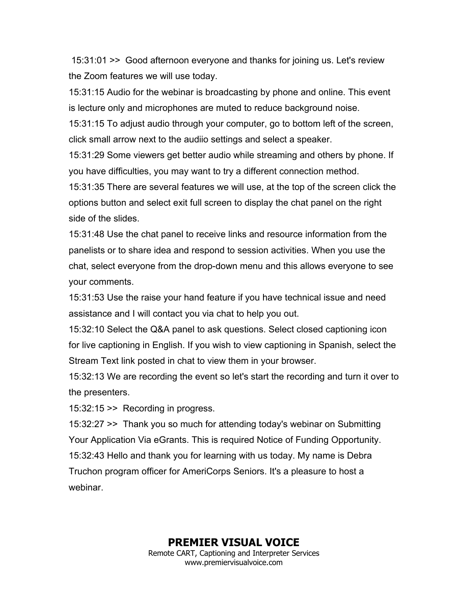15:31:01 >> Good afternoon everyone and thanks for joining us. Let's review the Zoom features we will use today.

15:31:15 Audio for the webinar is broadcasting by phone and online. This event is lecture only and microphones are muted to reduce background noise.

15:31:15 To adjust audio through your computer, go to bottom left of the screen, click small arrow next to the audiio settings and select a speaker.

15:31:29 Some viewers get better audio while streaming and others by phone. If you have difficulties, you may want to try a different connection method.

15:31:35 There are several features we will use, at the top of the screen click the options button and select exit full screen to display the chat panel on the right side of the slides.

15:31:48 Use the chat panel to receive links and resource information from the panelists or to share idea and respond to session activities. When you use the chat, select everyone from the drop-down menu and this allows everyone to see your comments.

15:31:53 Use the raise your hand feature if you have technical issue and need assistance and I will contact you via chat to help you out.

15:32:10 Select the Q&A panel to ask questions. Select closed captioning icon for live captioning in English. If you wish to view captioning in Spanish, select the Stream Text link posted in chat to view them in your browser.

15:32:13 We are recording the event so let's start the recording and turn it over to the presenters.

15:32:15 >> Recording in progress.

15:32:27 >> Thank you so much for attending today's webinar on Submitting Your Application Via eGrants. This is required Notice of Funding Opportunity. 15:32:43 Hello and thank you for learning with us today. My name is Debra Truchon program officer for AmeriCorps Seniors. It's a pleasure to host a webinar.

# **PREMIER VISUAL VOICE**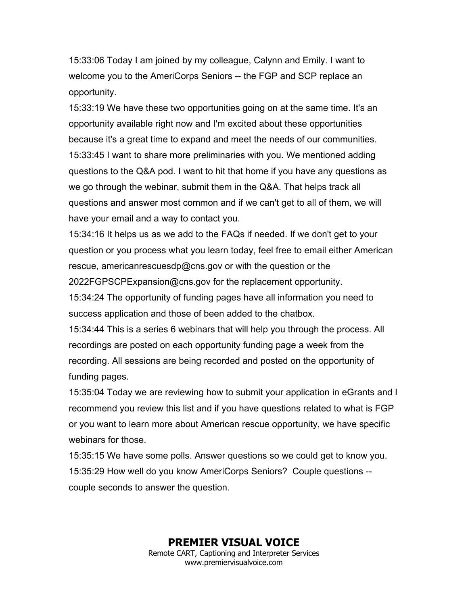15:33:06 Today I am joined by my colleague, Calynn and Emily. I want to welcome you to the AmeriCorps Seniors -- the FGP and SCP replace an opportunity.

15:33:19 We have these two opportunities going on at the same time. It's an opportunity available right now and I'm excited about these opportunities because it's a great time to expand and meet the needs of our communities. 15:33:45 I want to share more preliminaries with you. We mentioned adding questions to the Q&A pod. I want to hit that home if you have any questions as we go through the webinar, submit them in the Q&A. That helps track all questions and answer most common and if we can't get to all of them, we will have your email and a way to contact you.

15:34:16 It helps us as we add to the FAQs if needed. If we don't get to your question or you process what you learn today, feel free to email either American rescue, americanrescuesdp@cns.gov or with the question or the 2022FGPSCPExpansion@cns.gov for the replacement opportunity.

15:34:24 The opportunity of funding pages have all information you need to success application and those of been added to the chatbox.

15:34:44 This is a series 6 webinars that will help you through the process. All recordings are posted on each opportunity funding page a week from the recording. All sessions are being recorded and posted on the opportunity of funding pages.

15:35:04 Today we are reviewing how to submit your application in eGrants and I recommend you review this list and if you have questions related to what is FGP or you want to learn more about American rescue opportunity, we have specific webinars for those.

15:35:15 We have some polls. Answer questions so we could get to know you. 15:35:29 How well do you know AmeriCorps Seniors? Couple questions - couple seconds to answer the question.

> **PREMIER VISUAL VOICE** Remote CART, Captioning and Interpreter Services www.premiervisualvoice.com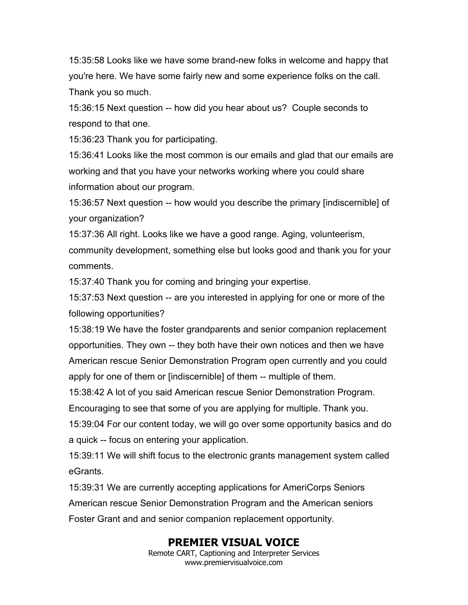15:35:58 Looks like we have some brand-new folks in welcome and happy that you're here. We have some fairly new and some experience folks on the call. Thank you so much.

15:36:15 Next question -- how did you hear about us? Couple seconds to respond to that one.

15:36:23 Thank you for participating.

15:36:41 Looks like the most common is our emails and glad that our emails are working and that you have your networks working where you could share information about our program.

15:36:57 Next question -- how would you describe the primary [indiscernible] of your organization?

15:37:36 All right. Looks like we have a good range. Aging, volunteerism, community development, something else but looks good and thank you for your comments.

15:37:40 Thank you for coming and bringing your expertise.

15:37:53 Next question -- are you interested in applying for one or more of the following opportunities?

15:38:19 We have the foster grandparents and senior companion replacement opportunities. They own -- they both have their own notices and then we have American rescue Senior Demonstration Program open currently and you could apply for one of them or [indiscernible] of them -- multiple of them.

15:38:42 A lot of you said American rescue Senior Demonstration Program.

Encouraging to see that some of you are applying for multiple. Thank you.

15:39:04 For our content today, we will go over some opportunity basics and do a quick -- focus on entering your application.

15:39:11 We will shift focus to the electronic grants management system called eGrants.

15:39:31 We are currently accepting applications for AmeriCorps Seniors American rescue Senior Demonstration Program and the American seniors Foster Grant and and senior companion replacement opportunity.

# **PREMIER VISUAL VOICE**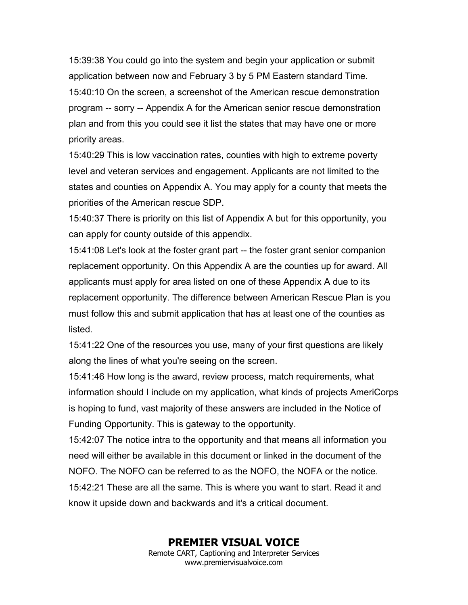15:39:38 You could go into the system and begin your application or submit application between now and February 3 by 5 PM Eastern standard Time. 15:40:10 On the screen, a screenshot of the American rescue demonstration program -- sorry -- Appendix A for the American senior rescue demonstration plan and from this you could see it list the states that may have one or more priority areas.

15:40:29 This is low vaccination rates, counties with high to extreme poverty level and veteran services and engagement. Applicants are not limited to the states and counties on Appendix A. You may apply for a county that meets the priorities of the American rescue SDP.

15:40:37 There is priority on this list of Appendix A but for this opportunity, you can apply for county outside of this appendix.

15:41:08 Let's look at the foster grant part -- the foster grant senior companion replacement opportunity. On this Appendix A are the counties up for award. All applicants must apply for area listed on one of these Appendix A due to its replacement opportunity. The difference between American Rescue Plan is you must follow this and submit application that has at least one of the counties as listed.

15:41:22 One of the resources you use, many of your first questions are likely along the lines of what you're seeing on the screen.

15:41:46 How long is the award, review process, match requirements, what information should I include on my application, what kinds of projects AmeriCorps is hoping to fund, vast majority of these answers are included in the Notice of Funding Opportunity. This is gateway to the opportunity.

15:42:07 The notice intra to the opportunity and that means all information you need will either be available in this document or linked in the document of the NOFO. The NOFO can be referred to as the NOFO, the NOFA or the notice. 15:42:21 These are all the same. This is where you want to start. Read it and know it upside down and backwards and it's a critical document.

### **PREMIER VISUAL VOICE**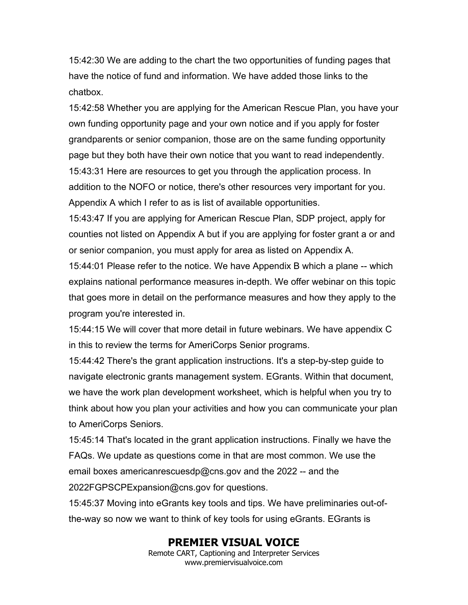15:42:30 We are adding to the chart the two opportunities of funding pages that have the notice of fund and information. We have added those links to the chatbox.

15:42:58 Whether you are applying for the American Rescue Plan, you have your own funding opportunity page and your own notice and if you apply for foster grandparents or senior companion, those are on the same funding opportunity page but they both have their own notice that you want to read independently. 15:43:31 Here are resources to get you through the application process. In addition to the NOFO or notice, there's other resources very important for you. Appendix A which I refer to as is list of available opportunities.

15:43:47 If you are applying for American Rescue Plan, SDP project, apply for counties not listed on Appendix A but if you are applying for foster grant a or and or senior companion, you must apply for area as listed on Appendix A.

15:44:01 Please refer to the notice. We have Appendix B which a plane -- which explains national performance measures in-depth. We offer webinar on this topic that goes more in detail on the performance measures and how they apply to the program you're interested in.

15:44:15 We will cover that more detail in future webinars. We have appendix C in this to review the terms for AmeriCorps Senior programs.

15:44:42 There's the grant application instructions. It's a step-by-step guide to navigate electronic grants management system. EGrants. Within that document, we have the work plan development worksheet, which is helpful when you try to think about how you plan your activities and how you can communicate your plan to AmeriCorps Seniors.

15:45:14 That's located in the grant application instructions. Finally we have the FAQs. We update as questions come in that are most common. We use the email boxes americanrescuesdp@cns.gov and the 2022 -- and the 2022FGPSCPExpansion@cns.gov for questions.

15:45:37 Moving into eGrants key tools and tips. We have preliminaries out-ofthe-way so now we want to think of key tools for using eGrants. EGrants is

# **PREMIER VISUAL VOICE**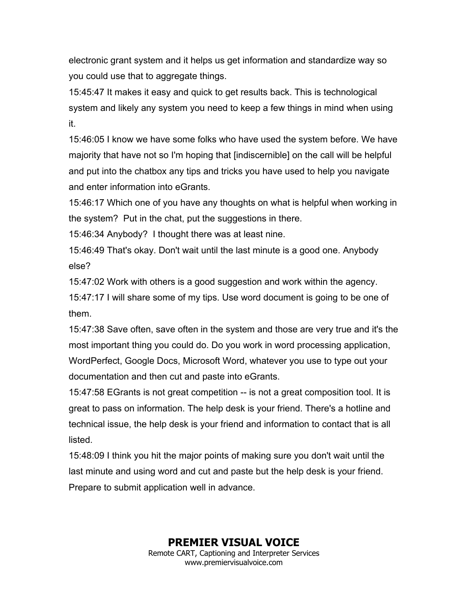electronic grant system and it helps us get information and standardize way so you could use that to aggregate things.

15:45:47 It makes it easy and quick to get results back. This is technological system and likely any system you need to keep a few things in mind when using it.

15:46:05 I know we have some folks who have used the system before. We have majority that have not so I'm hoping that [indiscernible] on the call will be helpful and put into the chatbox any tips and tricks you have used to help you navigate and enter information into eGrants.

15:46:17 Which one of you have any thoughts on what is helpful when working in the system? Put in the chat, put the suggestions in there.

15:46:34 Anybody? I thought there was at least nine.

15:46:49 That's okay. Don't wait until the last minute is a good one. Anybody else?

15:47:02 Work with others is a good suggestion and work within the agency.

15:47:17 I will share some of my tips. Use word document is going to be one of them.

15:47:38 Save often, save often in the system and those are very true and it's the most important thing you could do. Do you work in word processing application, WordPerfect, Google Docs, Microsoft Word, whatever you use to type out your documentation and then cut and paste into eGrants.

15:47:58 EGrants is not great competition -- is not a great composition tool. It is great to pass on information. The help desk is your friend. There's a hotline and technical issue, the help desk is your friend and information to contact that is all listed.

15:48:09 I think you hit the major points of making sure you don't wait until the last minute and using word and cut and paste but the help desk is your friend. Prepare to submit application well in advance.

> **PREMIER VISUAL VOICE** Remote CART, Captioning and Interpreter Services www.premiervisualvoice.com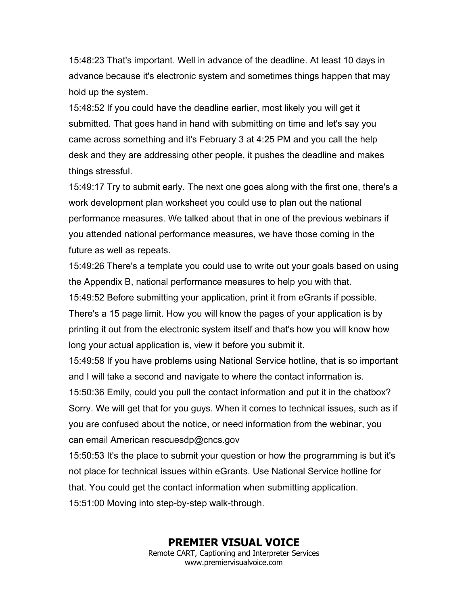15:48:23 That's important. Well in advance of the deadline. At least 10 days in advance because it's electronic system and sometimes things happen that may hold up the system.

15:48:52 If you could have the deadline earlier, most likely you will get it submitted. That goes hand in hand with submitting on time and let's say you came across something and it's February 3 at 4:25 PM and you call the help desk and they are addressing other people, it pushes the deadline and makes things stressful.

15:49:17 Try to submit early. The next one goes along with the first one, there's a work development plan worksheet you could use to plan out the national performance measures. We talked about that in one of the previous webinars if you attended national performance measures, we have those coming in the future as well as repeats.

15:49:26 There's a template you could use to write out your goals based on using the Appendix B, national performance measures to help you with that. 15:49:52 Before submitting your application, print it from eGrants if possible. There's a 15 page limit. How you will know the pages of your application is by printing it out from the electronic system itself and that's how you will know how

long your actual application is, view it before you submit it.

15:49:58 If you have problems using National Service hotline, that is so important and I will take a second and navigate to where the contact information is.

15:50:36 Emily, could you pull the contact information and put it in the chatbox? Sorry. We will get that for you guys. When it comes to technical issues, such as if you are confused about the notice, or need information from the webinar, you can email American rescuesdp@cncs.gov

15:50:53 It's the place to submit your question or how the programming is but it's not place for technical issues within eGrants. Use National Service hotline for that. You could get the contact information when submitting application. 15:51:00 Moving into step-by-step walk-through.

# **PREMIER VISUAL VOICE**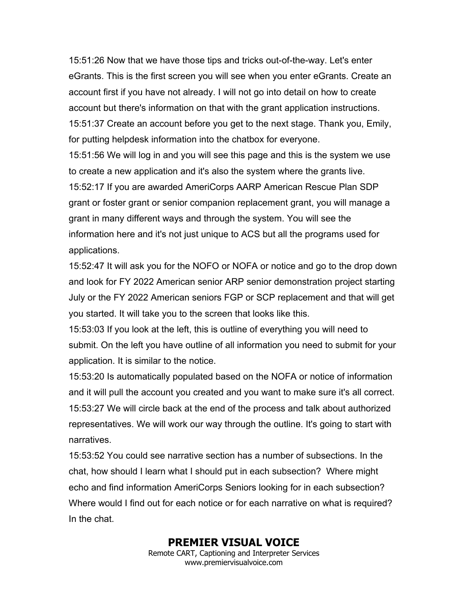15:51:26 Now that we have those tips and tricks out-of-the-way. Let's enter eGrants. This is the first screen you will see when you enter eGrants. Create an account first if you have not already. I will not go into detail on how to create account but there's information on that with the grant application instructions. 15:51:37 Create an account before you get to the next stage. Thank you, Emily, for putting helpdesk information into the chatbox for everyone.

15:51:56 We will log in and you will see this page and this is the system we use to create a new application and it's also the system where the grants live. 15:52:17 If you are awarded AmeriCorps AARP American Rescue Plan SDP grant or foster grant or senior companion replacement grant, you will manage a grant in many different ways and through the system. You will see the information here and it's not just unique to ACS but all the programs used for applications.

15:52:47 It will ask you for the NOFO or NOFA or notice and go to the drop down and look for FY 2022 American senior ARP senior demonstration project starting July or the FY 2022 American seniors FGP or SCP replacement and that will get you started. It will take you to the screen that looks like this.

15:53:03 If you look at the left, this is outline of everything you will need to submit. On the left you have outline of all information you need to submit for your application. It is similar to the notice.

15:53:20 Is automatically populated based on the NOFA or notice of information and it will pull the account you created and you want to make sure it's all correct. 15:53:27 We will circle back at the end of the process and talk about authorized representatives. We will work our way through the outline. It's going to start with narratives.

15:53:52 You could see narrative section has a number of subsections. In the chat, how should I learn what I should put in each subsection? Where might echo and find information AmeriCorps Seniors looking for in each subsection? Where would I find out for each notice or for each narrative on what is required? In the chat.

### **PREMIER VISUAL VOICE**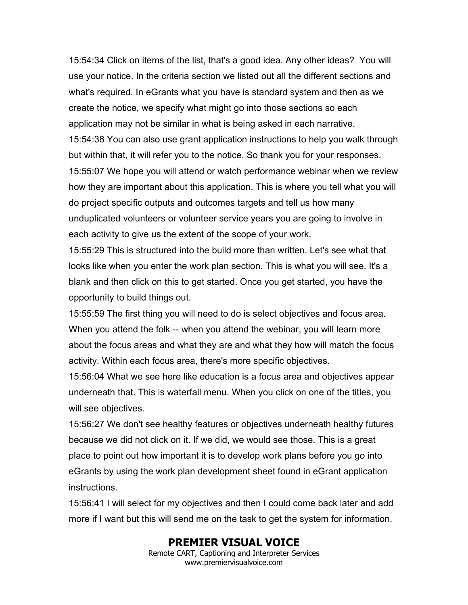15:54:34 Click on items of the list, that's a good idea. Any other ideas? You will use your notice. In the criteria section we listed out all the different sections and what's required. In eGrants what you have is standard system and then as we create the notice, we specify what might go into those sections so each application may not be similar in what is being asked in each narrative. 15:54:38 You can also use grant application instructions to help you walk through but within that, it will refer you to the notice. So thank you for your responses. 15:55:07 We hope you will attend or watch performance webinar when we review how they are important about this application. This is where you tell what you will do project specific outputs and outcomes targets and tell us how many unduplicated volunteers or volunteer service years you are going to involve in each activity to give us the extent of the scope of your work.

15:55:29 This is structured into the build more than written. Let's see what that looks like when you enter the work plan section. This is what you will see. It's a blank and then click on this to get started. Once you get started, you have the opportunity to build things out.

15:55:59 The first thing you will need to do is select objectives and focus area. When you attend the folk -- when you attend the webinar, you will learn more about the focus areas and what they are and what they how will match the focus activity. Within each focus area, there's more specific objectives.

15:56:04 What we see here like education is a focus area and objectives appear underneath that. This is waterfall menu. When you click on one of the titles, you will see objectives.

15:56:27 We don't see healthy features or objectives underneath healthy futures because we did not click on it. If we did, we would see those. This is a great place to point out how important it is to develop work plans before you go into eGrants by using the work plan development sheet found in eGrant application instructions.

15:56:41 I will select for my objectives and then I could come back later and add more if I want but this will send me on the task to get the system for information.

## **PREMIER VISUAL VOICE**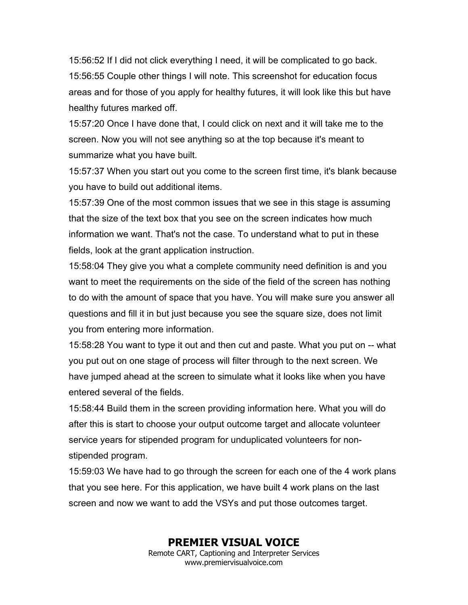15:56:52 If I did not click everything I need, it will be complicated to go back. 15:56:55 Couple other things I will note. This screenshot for education focus areas and for those of you apply for healthy futures, it will look like this but have healthy futures marked off.

15:57:20 Once I have done that, I could click on next and it will take me to the screen. Now you will not see anything so at the top because it's meant to summarize what you have built.

15:57:37 When you start out you come to the screen first time, it's blank because you have to build out additional items.

15:57:39 One of the most common issues that we see in this stage is assuming that the size of the text box that you see on the screen indicates how much information we want. That's not the case. To understand what to put in these fields, look at the grant application instruction.

15:58:04 They give you what a complete community need definition is and you want to meet the requirements on the side of the field of the screen has nothing to do with the amount of space that you have. You will make sure you answer all questions and fill it in but just because you see the square size, does not limit you from entering more information.

15:58:28 You want to type it out and then cut and paste. What you put on -- what you put out on one stage of process will filter through to the next screen. We have jumped ahead at the screen to simulate what it looks like when you have entered several of the fields.

15:58:44 Build them in the screen providing information here. What you will do after this is start to choose your output outcome target and allocate volunteer service years for stipended program for unduplicated volunteers for nonstipended program.

15:59:03 We have had to go through the screen for each one of the 4 work plans that you see here. For this application, we have built 4 work plans on the last screen and now we want to add the VSYs and put those outcomes target.

# **PREMIER VISUAL VOICE**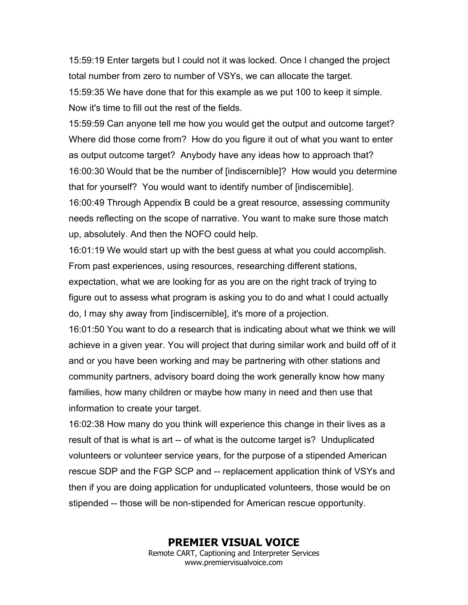15:59:19 Enter targets but I could not it was locked. Once I changed the project total number from zero to number of VSYs, we can allocate the target. 15:59:35 We have done that for this example as we put 100 to keep it simple. Now it's time to fill out the rest of the fields.

15:59:59 Can anyone tell me how you would get the output and outcome target? Where did those come from? How do you figure it out of what you want to enter as output outcome target? Anybody have any ideas how to approach that? 16:00:30 Would that be the number of [indiscernible]? How would you determine that for yourself? You would want to identify number of [indiscernible].

16:00:49 Through Appendix B could be a great resource, assessing community needs reflecting on the scope of narrative. You want to make sure those match up, absolutely. And then the NOFO could help.

16:01:19 We would start up with the best guess at what you could accomplish. From past experiences, using resources, researching different stations, expectation, what we are looking for as you are on the right track of trying to figure out to assess what program is asking you to do and what I could actually do, I may shy away from [indiscernible], it's more of a projection.

16:01:50 You want to do a research that is indicating about what we think we will achieve in a given year. You will project that during similar work and build off of it and or you have been working and may be partnering with other stations and community partners, advisory board doing the work generally know how many families, how many children or maybe how many in need and then use that information to create your target.

16:02:38 How many do you think will experience this change in their lives as a result of that is what is art -- of what is the outcome target is? Unduplicated volunteers or volunteer service years, for the purpose of a stipended American rescue SDP and the FGP SCP and -- replacement application think of VSYs and then if you are doing application for unduplicated volunteers, those would be on stipended -- those will be non-stipended for American rescue opportunity.

> **PREMIER VISUAL VOICE** Remote CART, Captioning and Interpreter Services www.premiervisualvoice.com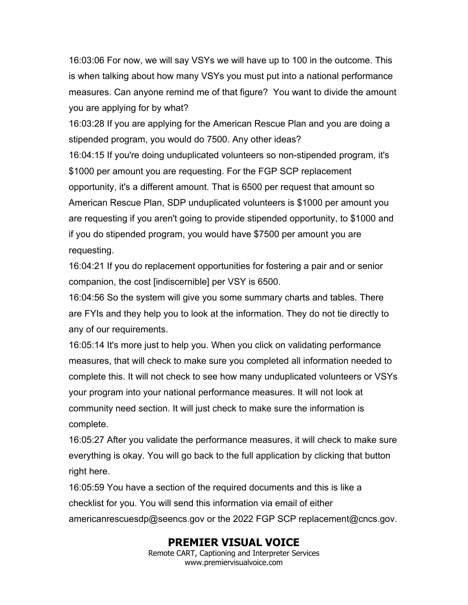16:03:06 For now, we will say VSYs we will have up to 100 in the outcome. This is when talking about how many VSYs you must put into a national performance measures. Can anyone remind me of that figure? You want to divide the amount you are applying for by what?

16:03:28 If you are applying for the American Rescue Plan and you are doing a stipended program, you would do 7500. Any other ideas?

16:04:15 If you're doing unduplicated volunteers so non-stipended program, it's \$1000 per amount you are requesting. For the FGP SCP replacement opportunity, it's a different amount. That is 6500 per request that amount so American Rescue Plan, SDP unduplicated volunteers is \$1000 per amount you are requesting if you aren't going to provide stipended opportunity, to \$1000 and if you do stipended program, you would have \$7500 per amount you are requesting.

16:04:21 If you do replacement opportunities for fostering a pair and or senior companion, the cost [indiscernible] per VSY is 6500.

16:04:56 So the system will give you some summary charts and tables. There are FYIs and they help you to look at the information. They do not tie directly to any of our requirements.

16:05:14 It's more just to help you. When you click on validating performance measures, that will check to make sure you completed all information needed to complete this. It will not check to see how many unduplicated volunteers or VSYs your program into your national performance measures. It will not look at community need section. It will just check to make sure the information is complete.

16:05:27 After you validate the performance measures, it will check to make sure everything is okay. You will go back to the full application by clicking that button right here.

16:05:59 You have a section of the required documents and this is like a checklist for you. You will send this information via email of either americanrescuesdp@seencs.gov or the 2022 FGP SCP replacement@cncs.gov.

# **PREMIER VISUAL VOICE**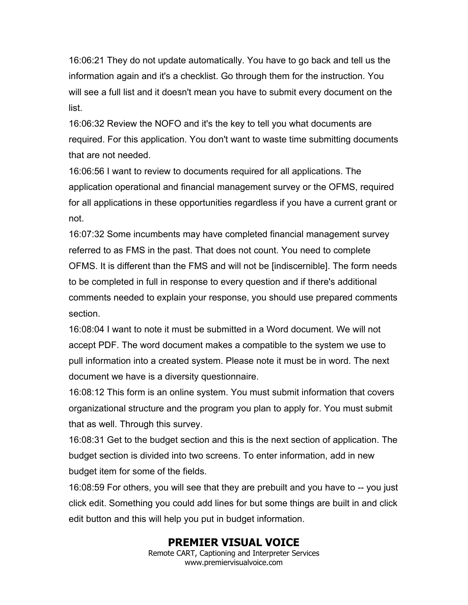16:06:21 They do not update automatically. You have to go back and tell us the information again and it's a checklist. Go through them for the instruction. You will see a full list and it doesn't mean you have to submit every document on the list.

16:06:32 Review the NOFO and it's the key to tell you what documents are required. For this application. You don't want to waste time submitting documents that are not needed.

16:06:56 I want to review to documents required for all applications. The application operational and financial management survey or the OFMS, required for all applications in these opportunities regardless if you have a current grant or not.

16:07:32 Some incumbents may have completed financial management survey referred to as FMS in the past. That does not count. You need to complete OFMS. It is different than the FMS and will not be [indiscernible]. The form needs to be completed in full in response to every question and if there's additional comments needed to explain your response, you should use prepared comments section.

16:08:04 I want to note it must be submitted in a Word document. We will not accept PDF. The word document makes a compatible to the system we use to pull information into a created system. Please note it must be in word. The next document we have is a diversity questionnaire.

16:08:12 This form is an online system. You must submit information that covers organizational structure and the program you plan to apply for. You must submit that as well. Through this survey.

16:08:31 Get to the budget section and this is the next section of application. The budget section is divided into two screens. To enter information, add in new budget item for some of the fields.

16:08:59 For others, you will see that they are prebuilt and you have to -- you just click edit. Something you could add lines for but some things are built in and click edit button and this will help you put in budget information.

# **PREMIER VISUAL VOICE**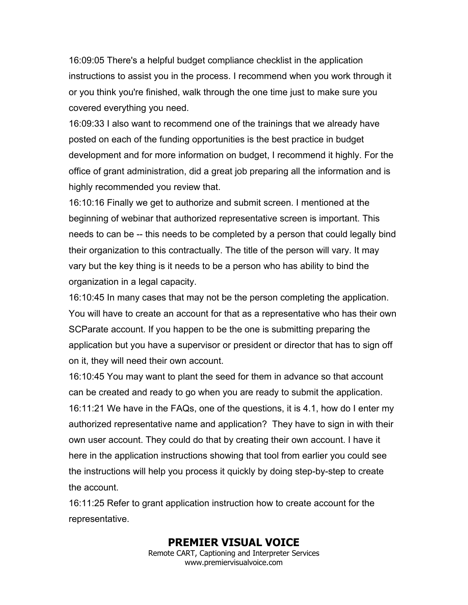16:09:05 There's a helpful budget compliance checklist in the application instructions to assist you in the process. I recommend when you work through it or you think you're finished, walk through the one time just to make sure you covered everything you need.

16:09:33 I also want to recommend one of the trainings that we already have posted on each of the funding opportunities is the best practice in budget development and for more information on budget, I recommend it highly. For the office of grant administration, did a great job preparing all the information and is highly recommended you review that.

16:10:16 Finally we get to authorize and submit screen. I mentioned at the beginning of webinar that authorized representative screen is important. This needs to can be -- this needs to be completed by a person that could legally bind their organization to this contractually. The title of the person will vary. It may vary but the key thing is it needs to be a person who has ability to bind the organization in a legal capacity.

16:10:45 In many cases that may not be the person completing the application. You will have to create an account for that as a representative who has their own SCParate account. If you happen to be the one is submitting preparing the application but you have a supervisor or president or director that has to sign off on it, they will need their own account.

16:10:45 You may want to plant the seed for them in advance so that account can be created and ready to go when you are ready to submit the application. 16:11:21 We have in the FAQs, one of the questions, it is 4.1, how do I enter my authorized representative name and application? They have to sign in with their own user account. They could do that by creating their own account. I have it here in the application instructions showing that tool from earlier you could see the instructions will help you process it quickly by doing step-by-step to create the account.

16:11:25 Refer to grant application instruction how to create account for the representative.

## **PREMIER VISUAL VOICE**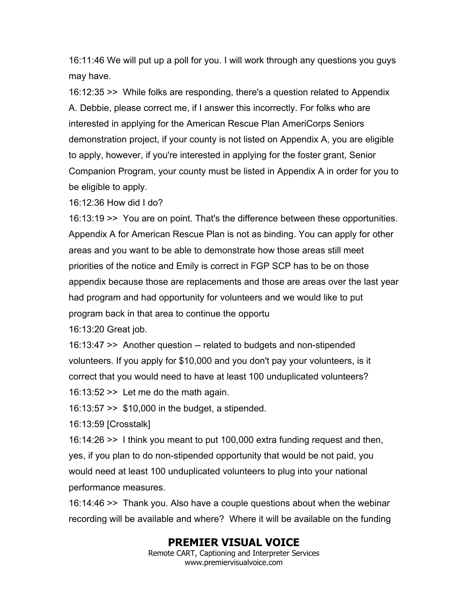16:11:46 We will put up a poll for you. I will work through any questions you guys may have.

16:12:35 >> While folks are responding, there's a question related to Appendix A. Debbie, please correct me, if I answer this incorrectly. For folks who are interested in applying for the American Rescue Plan AmeriCorps Seniors demonstration project, if your county is not listed on Appendix A, you are eligible to apply, however, if you're interested in applying for the foster grant, Senior Companion Program, your county must be listed in Appendix A in order for you to be eligible to apply.

16:12:36 How did I do?

16:13:19 >> You are on point. That's the difference between these opportunities. Appendix A for American Rescue Plan is not as binding. You can apply for other areas and you want to be able to demonstrate how those areas still meet priorities of the notice and Emily is correct in FGP SCP has to be on those appendix because those are replacements and those are areas over the last year had program and had opportunity for volunteers and we would like to put program back in that area to continue the opportu

16:13:20 Great job.

16:13:47 >> Another question -- related to budgets and non-stipended volunteers. If you apply for \$10,000 and you don't pay your volunteers, is it correct that you would need to have at least 100 unduplicated volunteers?

16:13:52  $\ge$  Let me do the math again.

16:13:57 >> \$10,000 in the budget, a stipended.

16:13:59 [Crosstalk]

16:14:26 >> I think you meant to put 100,000 extra funding request and then, yes, if you plan to do non-stipended opportunity that would be not paid, you would need at least 100 unduplicated volunteers to plug into your national performance measures.

16:14:46 >> Thank you. Also have a couple questions about when the webinar recording will be available and where? Where it will be available on the funding

# **PREMIER VISUAL VOICE**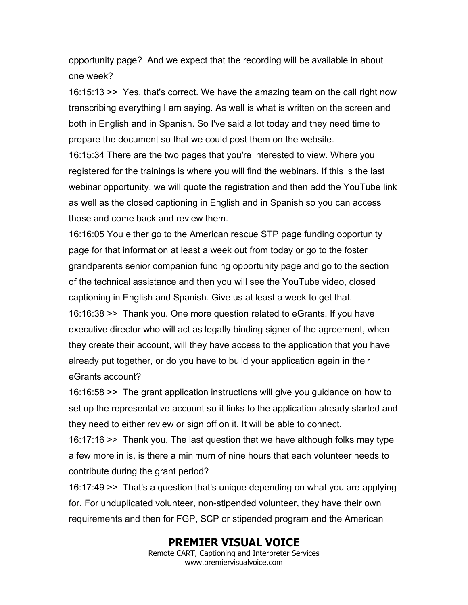opportunity page? And we expect that the recording will be available in about one week?

16:15:13 >> Yes, that's correct. We have the amazing team on the call right now transcribing everything I am saying. As well is what is written on the screen and both in English and in Spanish. So I've said a lot today and they need time to prepare the document so that we could post them on the website.

16:15:34 There are the two pages that you're interested to view. Where you registered for the trainings is where you will find the webinars. If this is the last webinar opportunity, we will quote the registration and then add the YouTube link as well as the closed captioning in English and in Spanish so you can access those and come back and review them.

16:16:05 You either go to the American rescue STP page funding opportunity page for that information at least a week out from today or go to the foster grandparents senior companion funding opportunity page and go to the section of the technical assistance and then you will see the YouTube video, closed captioning in English and Spanish. Give us at least a week to get that. 16:16:38 >> Thank you. One more question related to eGrants. If you have executive director who will act as legally binding signer of the agreement, when they create their account, will they have access to the application that you have already put together, or do you have to build your application again in their eGrants account?

16:16:58 >> The grant application instructions will give you guidance on how to set up the representative account so it links to the application already started and they need to either review or sign off on it. It will be able to connect.

16:17:16 >> Thank you. The last question that we have although folks may type a few more in is, is there a minimum of nine hours that each volunteer needs to contribute during the grant period?

16:17:49 >> That's a question that's unique depending on what you are applying for. For unduplicated volunteer, non-stipended volunteer, they have their own requirements and then for FGP, SCP or stipended program and the American

### **PREMIER VISUAL VOICE**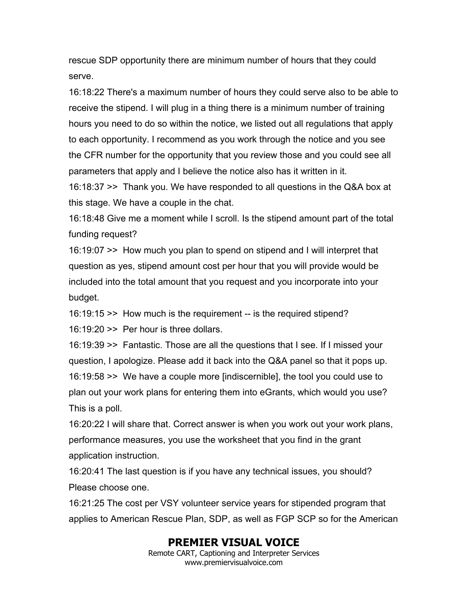rescue SDP opportunity there are minimum number of hours that they could serve.

16:18:22 There's a maximum number of hours they could serve also to be able to receive the stipend. I will plug in a thing there is a minimum number of training hours you need to do so within the notice, we listed out all regulations that apply to each opportunity. I recommend as you work through the notice and you see the CFR number for the opportunity that you review those and you could see all parameters that apply and I believe the notice also has it written in it.

16:18:37 >> Thank you. We have responded to all questions in the Q&A box at this stage. We have a couple in the chat.

16:18:48 Give me a moment while I scroll. Is the stipend amount part of the total funding request?

16:19:07 >> How much you plan to spend on stipend and I will interpret that question as yes, stipend amount cost per hour that you will provide would be included into the total amount that you request and you incorporate into your budget.

16:19:15 >> How much is the requirement -- is the required stipend?

16:19:20 >> Per hour is three dollars.

16:19:39 >> Fantastic. Those are all the questions that I see. If I missed your question, I apologize. Please add it back into the Q&A panel so that it pops up. 16:19:58 >> We have a couple more [indiscernible], the tool you could use to plan out your work plans for entering them into eGrants, which would you use? This is a poll.

16:20:22 I will share that. Correct answer is when you work out your work plans, performance measures, you use the worksheet that you find in the grant application instruction.

16:20:41 The last question is if you have any technical issues, you should? Please choose one.

16:21:25 The cost per VSY volunteer service years for stipended program that applies to American Rescue Plan, SDP, as well as FGP SCP so for the American

# **PREMIER VISUAL VOICE**